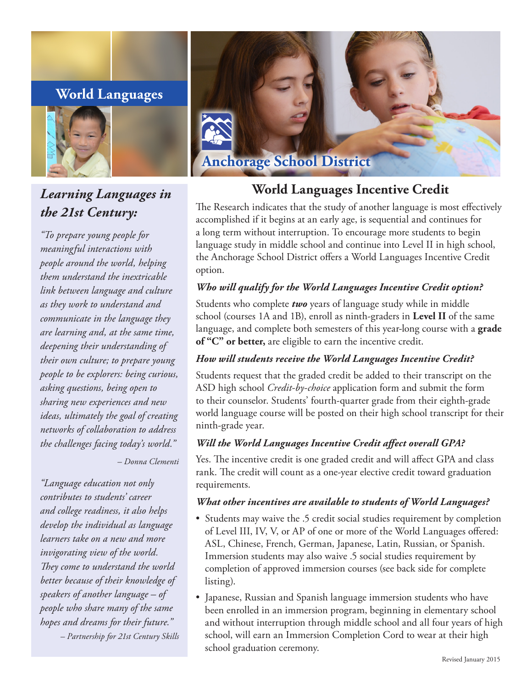# **World Languages**



# *Learning Languages in the 21st Century:*

*"To prepare young people for meaningful interactions with people around the world, helping them understand the inextricable link between language and culture as they work to understand and communicate in the language they are learning and, at the same time, deepening their understanding of their own culture; to prepare young people to be explorers: being curious, asking questions, being open to sharing new experiences and new ideas, ultimately the goal of creating networks of collaboration to address the challenges facing today's world."* 

*– Donna Clementi* 

*"Language education not only contributes to students' career and college readiness, it also helps develop the individual as language learners take on a new and more invigorating view of the world. They come to understand the world better because of their knowledge of speakers of another language – of people who share many of the same hopes and dreams for their future." – Partnership for 21st Century Skills* 



# **World Languages Incentive Credit**

The Research indicates that the study of another language is most effectively accomplished if it begins at an early age, is sequential and continues for a long term without interruption. To encourage more students to begin language study in middle school and continue into Level II in high school, the Anchorage School District offers a World Languages Incentive Credit option.

# *Who will qualify for the World Languages Incentive Credit option?*

Students who complete *two* years of language study while in middle school (courses 1A and 1B), enroll as ninth-graders in **Level II** of the same language, and complete both semesters of this year-long course with a **grade of "C" or better,** are eligible to earn the incentive credit.

## *How will students receive the World Languages Incentive Credit?*

Students request that the graded credit be added to their transcript on the ASD high school *Credit-by-choice* application form and submit the form to their counselor. Students' fourth-quarter grade from their eighth-grade world language course will be posted on their high school transcript for their ninth-grade year.

## *Will the World Languages Incentive Credit affect overall GPA?*

Yes. The incentive credit is one graded credit and will affect GPA and class rank. The credit will count as a one-year elective credit toward graduation requirements.

## *What other incentives are available to students of World Languages?*

- Students may waive the .5 credit social studies requirement by completion of Level III, IV, V, or AP of one or more of the World Languages offered: ASL, Chinese, French, German, Japanese, Latin, Russian, or Spanish. Immersion students may also waive .5 social studies requirement by completion of approved immersion courses (see back side for complete listing).
- Japanese, Russian and Spanish language immersion students who have been enrolled in an immersion program, beginning in elementary school and without interruption through middle school and all four years of high school, will earn an Immersion Completion Cord to wear at their high school graduation ceremony.